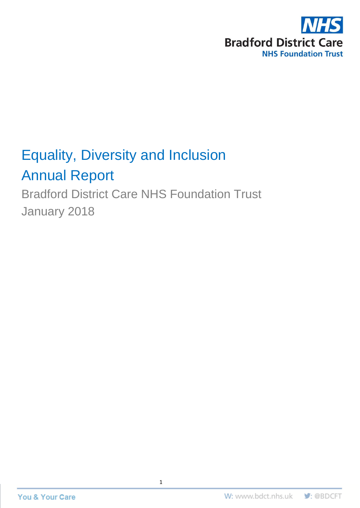

# Equality, Diversity and Inclusion Annual Report

Bradford District Care NHS Foundation Trust January 2018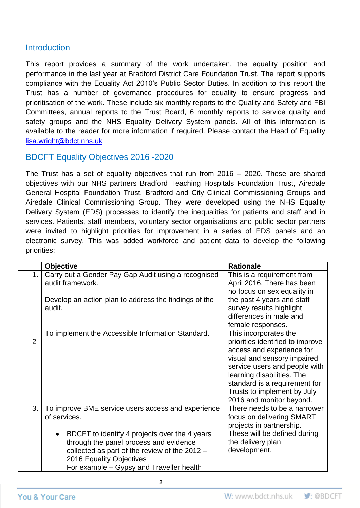#### **Introduction**

This report provides a summary of the work undertaken, the equality position and performance in the last year at Bradford District Care Foundation Trust. The report supports compliance with the Equality Act 2010's Public Sector Duties. In addition to this report the Trust has a number of governance procedures for equality to ensure progress and prioritisation of the work. These include six monthly reports to the Quality and Safety and FBI Committees, annual reports to the Trust Board, 6 monthly reports to service quality and safety groups and the NHS Equality Delivery System panels. All of this information is available to the reader for more information if required. Please contact the Head of Equality [lisa.wright@bdct.nhs.uk](mailto:lisa.wright@bdct.nhs.uk)

#### BDCFT Equality Objectives 2016 -2020

The Trust has a set of equality objectives that run from 2016 – 2020. These are shared objectives with our NHS partners Bradford Teaching Hospitals Foundation Trust, Airedale General Hospital Foundation Trust, Bradford and City Clinical Commissioning Groups and Airedale Clinical Commissioning Group. They were developed using the NHS Equality Delivery System (EDS) processes to identify the inequalities for patients and staff and in services. Patients, staff members, voluntary sector organisations and public sector partners were invited to highlight priorities for improvement in a series of EDS panels and an electronic survey. This was added workforce and patient data to develop the following priorities:

|                | <b>Objective</b>                                                                                                                                                                                                                                                                                    | <b>Rationale</b>                                                                                                                                                                                                                                                                 |
|----------------|-----------------------------------------------------------------------------------------------------------------------------------------------------------------------------------------------------------------------------------------------------------------------------------------------------|----------------------------------------------------------------------------------------------------------------------------------------------------------------------------------------------------------------------------------------------------------------------------------|
| 1.             | Carry out a Gender Pay Gap Audit using a recognised<br>audit framework.                                                                                                                                                                                                                             | This is a requirement from<br>April 2016. There has been<br>no focus on sex equality in                                                                                                                                                                                          |
|                | Develop an action plan to address the findings of the<br>audit.                                                                                                                                                                                                                                     | the past 4 years and staff<br>survey results highlight<br>differences in male and<br>female responses.                                                                                                                                                                           |
| $\overline{2}$ | To implement the Accessible Information Standard.                                                                                                                                                                                                                                                   | This incorporates the<br>priorities identified to improve<br>access and experience for<br>visual and sensory impaired<br>service users and people with<br>learning disabilities. The<br>standard is a requirement for<br>Trusts to implement by July<br>2016 and monitor beyond. |
| 3.             | To improve BME service users access and experience<br>of services.<br>BDCFT to identify 4 projects over the 4 years<br>$\bullet$<br>through the panel process and evidence<br>collected as part of the review of the 2012 -<br>2016 Equality Objectives<br>For example – Gypsy and Traveller health | There needs to be a narrower<br>focus on delivering SMART<br>projects in partnership.<br>These will be defined during<br>the delivery plan<br>development.                                                                                                                       |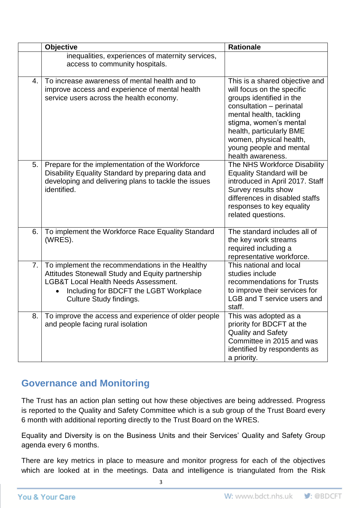|    | <b>Objective</b>                                                                                                                                                                                                            | <b>Rationale</b>                                                                                                                                                                                                                                                                 |
|----|-----------------------------------------------------------------------------------------------------------------------------------------------------------------------------------------------------------------------------|----------------------------------------------------------------------------------------------------------------------------------------------------------------------------------------------------------------------------------------------------------------------------------|
|    | inequalities, experiences of maternity services,<br>access to community hospitals.                                                                                                                                          |                                                                                                                                                                                                                                                                                  |
| 4. | To increase awareness of mental health and to<br>improve access and experience of mental health<br>service users across the health economy.                                                                                 | This is a shared objective and<br>will focus on the specific<br>groups identified in the<br>consultation - perinatal<br>mental health, tackling<br>stigma, women's mental<br>health, particularly BME<br>women, physical health,<br>young people and mental<br>health awareness. |
| 5. | Prepare for the implementation of the Workforce<br>Disability Equality Standard by preparing data and<br>developing and delivering plans to tackle the issues<br>identified.                                                | The NHS Workforce Disability<br><b>Equality Standard will be</b><br>introduced in April 2017. Staff<br>Survey results show<br>differences in disabled staffs<br>responses to key equality<br>related questions.                                                                  |
| 6. | To implement the Workforce Race Equality Standard<br>(WRES).                                                                                                                                                                | The standard includes all of<br>the key work streams<br>required including a<br>representative workforce.                                                                                                                                                                        |
| 7. | To implement the recommendations in the Healthy<br>Attitudes Stonewall Study and Equity partnership<br><b>LGB&amp;T Local Health Needs Assessment.</b><br>Including for BDCFT the LGBT Workplace<br>Culture Study findings. | This national and local<br>studies include<br>recommendations for Trusts<br>to improve their services for<br>LGB and T service users and<br>staff.                                                                                                                               |
| 8. | To improve the access and experience of older people<br>and people facing rural isolation                                                                                                                                   | This was adopted as a<br>priority for BDCFT at the<br><b>Quality and Safety</b><br>Committee in 2015 and was<br>identified by respondents as<br>a priority.                                                                                                                      |

## **Governance and Monitoring**

The Trust has an action plan setting out how these objectives are being addressed. Progress is reported to the Quality and Safety Committee which is a sub group of the Trust Board every 6 month with additional reporting directly to the Trust Board on the WRES.

Equality and Diversity is on the Business Units and their Services' Quality and Safety Group agenda every 6 months.

There are key metrics in place to measure and monitor progress for each of the objectives which are looked at in the meetings. Data and intelligence is triangulated from the Risk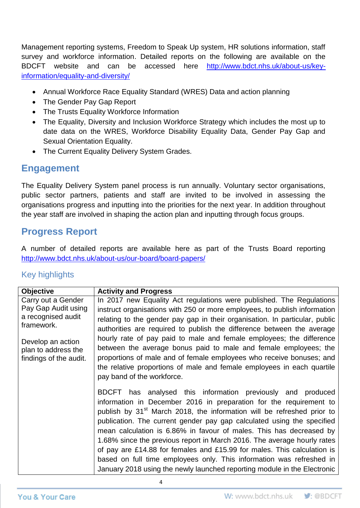Management reporting systems, Freedom to Speak Up system, HR solutions information, staff survey and workforce information. Detailed reports on the following are available on the BDCFT website and can be accessed here [http://www.bdct.nhs.uk/about-us/key](http://www.bdct.nhs.uk/about-us/key-information/equality-and-diversity/)[information/equality-and-diversity/](http://www.bdct.nhs.uk/about-us/key-information/equality-and-diversity/)

- Annual Workforce Race Equality Standard (WRES) Data and action planning
- The Gender Pay Gap Report
- The Trusts Equality Workforce Information
- The Equality, Diversity and Inclusion Workforce Strategy which includes the most up to date data on the WRES, Workforce Disability Equality Data, Gender Pay Gap and Sexual Orientation Equality.
- The Current Equality Delivery System Grades.

#### **Engagement**

The Equality Delivery System panel process is run annually. Voluntary sector organisations, public sector partners, patients and staff are invited to be involved in assessing the organisations progress and inputting into the priorities for the next year. In addition throughout the year staff are involved in shaping the action plan and inputting through focus groups.

## **Progress Report**

A number of detailed reports are available here as part of the Trusts Board reporting <http://www.bdct.nhs.uk/about-us/our-board/board-papers/>

#### Key highlights

| <b>Objective</b>                 | <b>Activity and Progress</b>                                                       |
|----------------------------------|------------------------------------------------------------------------------------|
| Carry out a Gender               | In 2017 new Equality Act regulations were published. The Regulations               |
| Pay Gap Audit using              | instruct organisations with 250 or more employees, to publish information          |
| a recognised audit<br>framework. | relating to the gender pay gap in their organisation. In particular, public        |
|                                  | authorities are required to publish the difference between the average             |
| Develop an action                | hourly rate of pay paid to male and female employees; the difference               |
| plan to address the              | between the average bonus paid to male and female employees; the                   |
| findings of the audit.           | proportions of male and of female employees who receive bonuses; and               |
|                                  | the relative proportions of male and female employees in each quartile             |
|                                  | pay band of the workforce.                                                         |
|                                  | BDCFT has analysed this information previously and produced                        |
|                                  | information in December 2016 in preparation for the requirement to                 |
|                                  | publish by 31 <sup>st</sup> March 2018, the information will be refreshed prior to |
|                                  | publication. The current gender pay gap calculated using the specified             |
|                                  | mean calculation is 6.86% in favour of males. This has decreased by                |
|                                  | 1.68% since the previous report in March 2016. The average hourly rates            |
|                                  | of pay are £14.88 for females and £15.99 for males. This calculation is            |
|                                  | based on full time employees only. This information was refreshed in               |
|                                  | January 2018 using the newly launched reporting module in the Electronic           |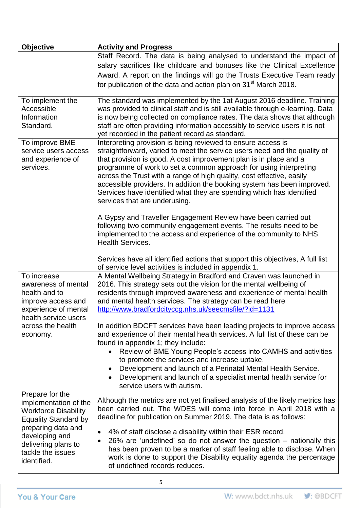| <b>Objective</b>                                                                                                                                                                                          | <b>Activity and Progress</b>                                                                                                                                                                                                                                                                                                                                                                                                                                                                                                                                                                                                                                                                                                                                                                                      |
|-----------------------------------------------------------------------------------------------------------------------------------------------------------------------------------------------------------|-------------------------------------------------------------------------------------------------------------------------------------------------------------------------------------------------------------------------------------------------------------------------------------------------------------------------------------------------------------------------------------------------------------------------------------------------------------------------------------------------------------------------------------------------------------------------------------------------------------------------------------------------------------------------------------------------------------------------------------------------------------------------------------------------------------------|
|                                                                                                                                                                                                           | Staff Record. The data is being analysed to understand the impact of                                                                                                                                                                                                                                                                                                                                                                                                                                                                                                                                                                                                                                                                                                                                              |
|                                                                                                                                                                                                           | salary sacrifices like childcare and bonuses like the Clinical Excellence                                                                                                                                                                                                                                                                                                                                                                                                                                                                                                                                                                                                                                                                                                                                         |
|                                                                                                                                                                                                           | Award. A report on the findings will go the Trusts Executive Team ready                                                                                                                                                                                                                                                                                                                                                                                                                                                                                                                                                                                                                                                                                                                                           |
|                                                                                                                                                                                                           | for publication of the data and action plan on 31 <sup>st</sup> March 2018.                                                                                                                                                                                                                                                                                                                                                                                                                                                                                                                                                                                                                                                                                                                                       |
| To implement the<br>Accessible<br>Information<br>Standard.<br>To improve BME<br>service users access<br>and experience of<br>services.                                                                    | The standard was implemented by the 1at August 2016 deadline. Training<br>was provided to clinical staff and is still available through e-learning. Data<br>is now being collected on compliance rates. The data shows that although<br>staff are often providing information accessibly to service users it is not<br>yet recorded in the patient record as standard.<br>Interpreting provision is being reviewed to ensure access is<br>straightforward, varied to meet the service users need and the quality of<br>that provision is good. A cost improvement plan is in place and a<br>programme of work to set a common approach for using interpreting<br>across the Trust with a range of high quality, cost effective, easily<br>accessible providers. In addition the booking system has been improved. |
|                                                                                                                                                                                                           | Services have identified what they are spending which has identified<br>services that are underusing.<br>A Gypsy and Traveller Engagement Review have been carried out                                                                                                                                                                                                                                                                                                                                                                                                                                                                                                                                                                                                                                            |
|                                                                                                                                                                                                           | following two community engagement events. The results need to be<br>implemented to the access and experience of the community to NHS<br><b>Health Services.</b>                                                                                                                                                                                                                                                                                                                                                                                                                                                                                                                                                                                                                                                  |
|                                                                                                                                                                                                           | Services have all identified actions that support this objectives, A full list<br>of service level activities is included in appendix 1.                                                                                                                                                                                                                                                                                                                                                                                                                                                                                                                                                                                                                                                                          |
| To increase<br>awareness of mental<br>health and to<br>improve access and<br>experience of mental<br>health service users                                                                                 | A Mental Wellbeing Strategy in Bradford and Craven was launched in<br>2016. This strategy sets out the vision for the mental wellbeing of<br>residents through improved awareness and experience of mental health<br>and mental health services. The strategy can be read here<br>http://www.bradfordcityccg.nhs.uk/seecmsfile/?id=1131                                                                                                                                                                                                                                                                                                                                                                                                                                                                           |
| across the health<br>economy.                                                                                                                                                                             | In addition BDCFT services have been leading projects to improve access<br>and experience of their mental health services. A full list of these can be<br>found in appendix 1; they include:<br>Review of BME Young People's access into CAMHS and activities<br>$\bullet$<br>to promote the services and increase uptake.<br>Development and launch of a Perinatal Mental Health Service.<br>$\bullet$                                                                                                                                                                                                                                                                                                                                                                                                           |
|                                                                                                                                                                                                           | Development and launch of a specialist mental health service for<br>$\bullet$<br>service users with autism.                                                                                                                                                                                                                                                                                                                                                                                                                                                                                                                                                                                                                                                                                                       |
| Prepare for the<br>implementation of the<br><b>Workforce Disability</b><br><b>Equality Standard by</b><br>preparing data and<br>developing and<br>delivering plans to<br>tackle the issues<br>identified. | Although the metrics are not yet finalised analysis of the likely metrics has<br>been carried out. The WDES will come into force in April 2018 with a<br>deadline for publication on Summer 2019. The data is as follows:<br>4% of staff disclose a disability within their ESR record.<br>٠<br>26% are 'undefined' so do not answer the question $-$ nationally this<br>٠<br>has been proven to be a marker of staff feeling able to disclose. When<br>work is done to support the Disability equality agenda the percentage<br>of undefined records reduces.                                                                                                                                                                                                                                                    |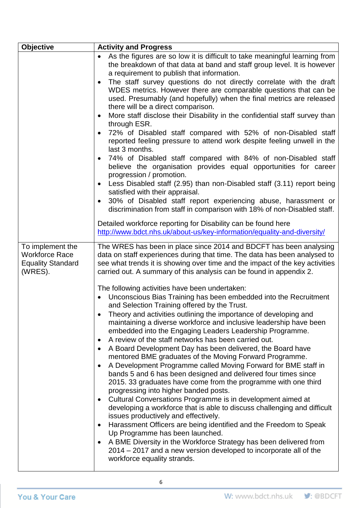| <b>Objective</b>                                                                 | <b>Activity and Progress</b>                                                                                                                                                                                                                                                                                                                                                                                                                                                                                                                                                                                                                                                                                                                                                                                                                                                                                                                                                                                                                                                                                                                                                                                                                                                                                                                                                                                                                                                                                                                                                           |  |
|----------------------------------------------------------------------------------|----------------------------------------------------------------------------------------------------------------------------------------------------------------------------------------------------------------------------------------------------------------------------------------------------------------------------------------------------------------------------------------------------------------------------------------------------------------------------------------------------------------------------------------------------------------------------------------------------------------------------------------------------------------------------------------------------------------------------------------------------------------------------------------------------------------------------------------------------------------------------------------------------------------------------------------------------------------------------------------------------------------------------------------------------------------------------------------------------------------------------------------------------------------------------------------------------------------------------------------------------------------------------------------------------------------------------------------------------------------------------------------------------------------------------------------------------------------------------------------------------------------------------------------------------------------------------------------|--|
|                                                                                  | As the figures are so low it is difficult to take meaningful learning from<br>the breakdown of that data at band and staff group level. It is however<br>a requirement to publish that information.<br>The staff survey questions do not directly correlate with the draft<br>WDES metrics. However there are comparable questions that can be<br>used. Presumably (and hopefully) when the final metrics are released<br>there will be a direct comparison.<br>More staff disclose their Disability in the confidential staff survey than<br>through ESR.<br>72% of Disabled staff compared with 52% of non-Disabled staff<br>reported feeling pressure to attend work despite feeling unwell in the<br>last 3 months.<br>74% of Disabled staff compared with 84% of non-Disabled staff<br>believe the organisation provides equal opportunities for career<br>progression / promotion.<br>Less Disabled staff (2.95) than non-Disabled staff (3.11) report being<br>satisfied with their appraisal.<br>30% of Disabled staff report experiencing abuse, harassment or<br>discrimination from staff in comparison with 18% of non-Disabled staff.<br>Detailed workforce reporting for Disability can be found here<br>http://www.bdct.nhs.uk/about-us/key-information/equality-and-diversity/                                                                                                                                                                                                                                                                                         |  |
| To implement the<br><b>Workforce Race</b><br><b>Equality Standard</b><br>(WRES). | The WRES has been in place since 2014 and BDCFT has been analysing<br>data on staff experiences during that time. The data has been analysed to<br>see what trends it is showing over time and the impact of the key activities<br>carried out. A summary of this analysis can be found in appendix 2.<br>The following activities have been undertaken:<br>Unconscious Bias Training has been embedded into the Recruitment<br>and Selection Training offered by the Trust.<br>Theory and activities outlining the importance of developing and<br>maintaining a diverse workforce and inclusive leadership have been<br>embedded into the Engaging Leaders Leadership Programme.<br>A review of the staff networks has been carried out.<br>A Board Development Day has been delivered, the Board have<br>mentored BME graduates of the Moving Forward Programme.<br>A Development Programme called Moving Forward for BME staff in<br>bands 5 and 6 has been designed and delivered four times since<br>2015. 33 graduates have come from the programme with one third<br>progressing into higher banded posts.<br>Cultural Conversations Programme is in development aimed at<br>developing a workforce that is able to discuss challenging and difficult<br>issues productively and effectively.<br>Harassment Officers are being identified and the Freedom to Speak<br>Up Programme has been launched.<br>A BME Diversity in the Workforce Strategy has been delivered from<br>2014 – 2017 and a new version developed to incorporate all of the<br>workforce equality strands. |  |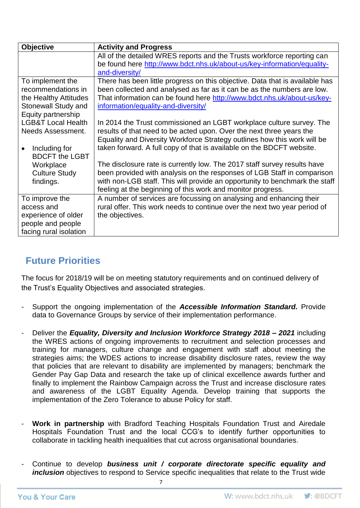| <b>Objective</b>              | <b>Activity and Progress</b>                                                 |
|-------------------------------|------------------------------------------------------------------------------|
|                               | All of the detailed WRES reports and the Trusts workforce reporting can      |
|                               | be found here http://www.bdct.nhs.uk/about-us/key-information/equality-      |
|                               | and-diversity/                                                               |
| To implement the              | There has been little progress on this objective. Data that is available has |
| recommendations in            | been collected and analysed as far as it can be as the numbers are low.      |
| the Healthy Attitudes         | That information can be found here http://www.bdct.nhs.uk/about-us/key-      |
| Stonewall Study and           | information/equality-and-diversity/                                          |
| Equity partnership            |                                                                              |
| <b>LGB&amp;T Local Health</b> | In 2014 the Trust commissioned an LGBT workplace culture survey. The         |
| Needs Assessment.             | results of that need to be acted upon. Over the next three years the         |
|                               | Equality and Diversity Workforce Strategy outlines how this work will be     |
| Including for                 | taken forward. A full copy of that is available on the BDCFT website.        |
| <b>BDCFT the LGBT</b>         |                                                                              |
| Workplace                     | The disclosure rate is currently low. The 2017 staff survey results have     |
| <b>Culture Study</b>          | been provided with analysis on the responses of LGB Staff in comparison      |
| findings.                     | with non-LGB staff. This will provide an opportunity to benchmark the staff  |
|                               | feeling at the beginning of this work and monitor progress.                  |
| To improve the                | A number of services are focussing on analysing and enhancing their          |
| access and                    | rural offer. This work needs to continue over the next two year period of    |
| experience of older           | the objectives.                                                              |
| people and people             |                                                                              |
| facing rural isolation        |                                                                              |

# **Future Priorities**

The focus for 2018/19 will be on meeting statutory requirements and on continued delivery of the Trust's Equality Objectives and associated strategies.

- Support the ongoing implementation of the *Accessible Information Standard.* Provide data to Governance Groups by service of their implementation performance.
- Deliver the *Equality, Diversity and Inclusion Workforce Strategy 2018 – 2021* including the WRES actions of ongoing improvements to recruitment and selection processes and training for managers, culture change and engagement with staff about meeting the strategies aims; the WDES actions to increase disability disclosure rates, review the way that policies that are relevant to disability are implemented by managers; benchmark the Gender Pay Gap Data and research the take up of clinical excellence awards further and finally to implement the Rainbow Campaign across the Trust and increase disclosure rates and awareness of the LGBT Equality Agenda. Develop training that supports the implementation of the Zero Tolerance to abuse Policy for staff.
- Work in partnership with Bradford Teaching Hospitals Foundation Trust and Airedale Hospitals Foundation Trust and the local CCG's to identify further opportunities to collaborate in tackling health inequalities that cut across organisational boundaries.
- Continue to develop **business unit / corporate directorate specific equality and** *inclusion* objectives to respond to Service specific inequalities that relate to the Trust wide